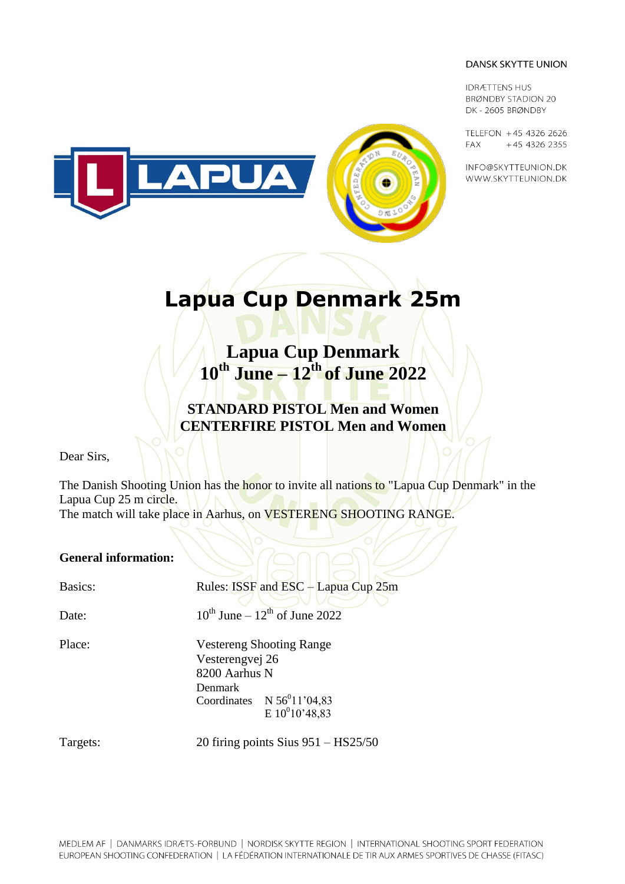**IDRÆTTENS HUS BRØNDBY STADION 20** DK-2605 BRØNDBY

TELEFON +45 4326 2626 FAX +45 4326 2355

INFO@SKYTTEUNION.DK WWW.SKYTTEUNION.DK



# **Lapua Cup Denmark 25m**

**Lapua Cup Denmark 10 th June – 12 th of June 2022**

**STANDARD PISTOL Men and Women CENTERFIRE PISTOL Men and Women**

Dear Sirs,

The Danish Shooting Union has the honor to invite all nations to "Lapua Cup Denmark" in the Lapua Cup 25 m circle.

The match will take place in Aarhus, on VESTERENG SHOOTING RANGE.

#### **General information:**

Basics: Rules: ISSF and ESC – Lapua Cup 25m

Date:

<sup>th</sup> June –  $12<sup>th</sup>$  of June 2022

Place: Vestereng Shooting Range Vesterengvej 26 8200 Aarhus N Denmark Coordinates  $N 56<sup>0</sup>11'04,83$  $E 10^010'48,83$ 

Targets: 20 firing points Sius 951 – HS25/50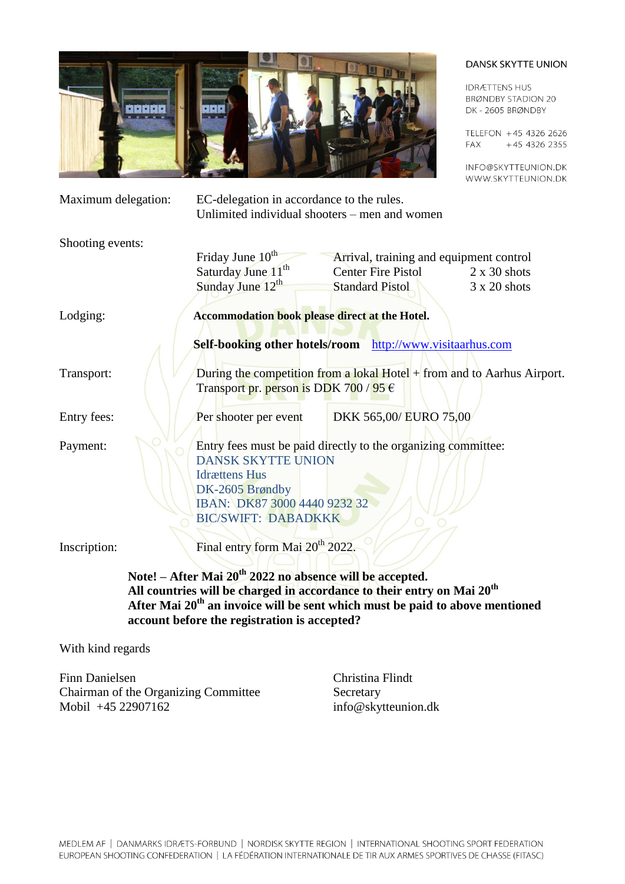

**IDRÆTTENS HUS BRØNDBY STADION 20** DK-2605 BRØNDBY

TELEFON +45 4326 2626 +45 4326 2355 **FAX** 

INFO@SKYTTEUNION.DK WWW.SKYTTEUNION.DK

| Maximum delegation: | EC-delegation in accordance to the rules.<br>Unlimited individual shooters – men and women                                   |                           |                        |                     |
|---------------------|------------------------------------------------------------------------------------------------------------------------------|---------------------------|------------------------|---------------------|
| Shooting events:    |                                                                                                                              |                           |                        |                     |
|                     | Friday June 10 <sup>th</sup><br>Arrival, training and equipment control                                                      |                           |                        |                     |
|                     | Saturday June 11 <sup>th</sup>                                                                                               | <b>Center Fire Pistol</b> |                        | $2 \times 30$ shots |
|                     | Sunday June 12 <sup>th</sup>                                                                                                 | <b>Standard Pistol</b>    |                        | $3 \times 20$ shots |
| Lodging:            | Accommodation book please direct at the Hotel.                                                                               |                           |                        |                     |
|                     | Self-booking other hotels/room http://www.visitaarhus.com                                                                    |                           |                        |                     |
| Transport:          | During the competition from a lokal Hotel $+$ from and to Aarhus Airport.<br>Transport pr. person is DDK 700 / 95 $\epsilon$ |                           |                        |                     |
| Entry fees:         | Per shooter per event                                                                                                        |                           | DKK 565,00/ EURO 75,00 |                     |
| Payment:            | Entry fees must be paid directly to the organizing committee:                                                                |                           |                        |                     |
|                     | <b>DANSK SKYTTE UNION</b>                                                                                                    |                           |                        |                     |
|                     | <b>Idrættens Hus</b>                                                                                                         |                           |                        |                     |
|                     | DK-2605 Brøndby                                                                                                              |                           |                        |                     |
|                     | IBAN: DK87 3000 4440 9232 32                                                                                                 |                           |                        |                     |
|                     | <b>BIC/SWIFT: DABADKKK</b>                                                                                                   |                           |                        |                     |
| Inscription:        | Final entry form Mai 20 <sup>th</sup> 2022.                                                                                  |                           |                        |                     |
|                     | Note! - After Mai 20 <sup>th</sup> 2022 no absence will be accepted.                                                         |                           |                        |                     |

**All countries will be charged in accordance to their entry on Mai 20 th After Mai 20 th an invoice will be sent which must be paid to above mentioned account before the registration is accepted?**

With kind regards

Finn Danielsen Christina Flindt Chairman of the Organizing Committee Secretary Mobil +45 22907162 info@skytteunion.dk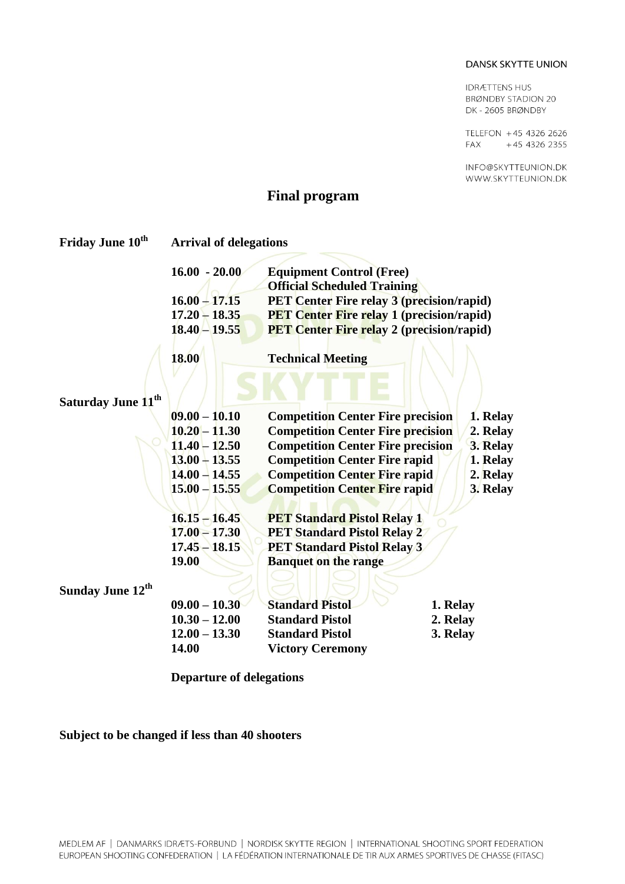**IDRÆTTENS HUS BRØNDBY STADION 20** DK-2605 BRØNDBY

TELEFON +45 4326 2626 +45 4326 2355 **FAX** 

INFO@SKYTTEUNION.DK WWW.SKYTTEUNION.DK

### **Final program**

| Friday June 10 <sup>th</sup>   | <b>Arrival of delegations</b> |                                                                                      |          |                      |
|--------------------------------|-------------------------------|--------------------------------------------------------------------------------------|----------|----------------------|
|                                | $16.00 - 20.00$               | <b>Equipment Control (Free)</b><br><b>Official Scheduled Training</b>                |          |                      |
|                                | $16.00 - 17.15$               | PET Center Fire relay 3 (precision/rapid)                                            |          |                      |
|                                | $17.20 - 18.35$               | <b>PET Center Fire relay 1 (precision/rapid)</b>                                     |          |                      |
|                                | $18.40 - 19.55$               | <b>PET Center Fire relay 2 (precision/rapid)</b>                                     |          |                      |
|                                | <b>18.00</b>                  | <b>Technical Meeting</b>                                                             |          |                      |
|                                |                               |                                                                                      |          |                      |
| Saturday June 11 <sup>th</sup> | $09.00 - 10.10$               |                                                                                      |          |                      |
|                                | $10.20 - 11.30$               | <b>Competition Center Fire precision</b><br><b>Competition Center Fire precision</b> |          | 1. Relay             |
|                                | $11.40 - 12.50$               | <b>Competition Center Fire precision</b>                                             |          | 2. Relay<br>3. Relay |
|                                | $13.00 + 13.55$               | <b>Competition Center Fire rapid</b>                                                 |          | 1. Relay             |
|                                | $14.00 - 14.55$               | <b>Competition Center Fire rapid</b>                                                 |          | 2. Relay             |
|                                | $15.00 - 15.55$               | <b>Competition Center Fire rapid</b>                                                 |          | 3. Relay             |
|                                | $16.15 - 16.45$               | <b>PET Standard Pistol Relay 1</b>                                                   |          |                      |
|                                | $17.00 - 17.30$               | <b>PET Standard Pistol Relay 2</b>                                                   |          |                      |
|                                | $17.45 - 18.15$               | <b>PET Standard Pistol Relay 3</b>                                                   |          |                      |
|                                | <b>19.00</b>                  | <b>Banquet on the range</b>                                                          |          |                      |
| Sunday June 12 <sup>th</sup>   |                               |                                                                                      |          |                      |
|                                | $09.00 - 10.30$               | <b>Standard Pistol</b>                                                               | 1. Relay |                      |
|                                | $10.30 - 12.00$               | <b>Standard Pistol</b>                                                               | 2. Relay |                      |
|                                | $12.00 - 13.30$               | <b>Standard Pistol</b>                                                               | 3. Relay |                      |
|                                | 14.00                         | <b>Victory Ceremony</b>                                                              |          |                      |

**Departure of delegations**

**Subject to be changed if less than 40 shooters**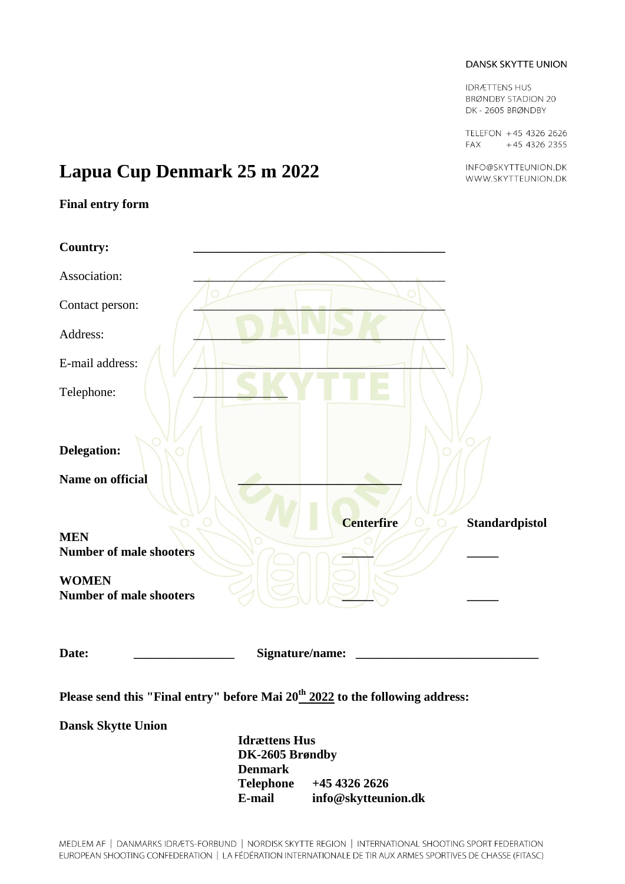**IDRÆTTENS HUS BRØNDBY STADION 20** DK-2605 BRØNDBY

TELEFON +45 4326 2626 FAX +45 4326 2355

INFO@SKYTTEUNION.DK WWW.SKYTTEUNION.DK

## **Lapua Cup Denmark 25 m 2022**

### **Final entry form**

| <b>Country:</b>                                                                           |                                    |                                            |  |
|-------------------------------------------------------------------------------------------|------------------------------------|--------------------------------------------|--|
| Association:                                                                              |                                    |                                            |  |
| Contact person:                                                                           |                                    |                                            |  |
| Address:                                                                                  |                                    |                                            |  |
| E-mail address:                                                                           |                                    |                                            |  |
| Telephone:                                                                                |                                    |                                            |  |
| <b>Delegation:</b>                                                                        |                                    |                                            |  |
| Name on official                                                                          |                                    | <b>Centerfire</b><br><b>Standardpistol</b> |  |
| <b>MEN</b><br><b>Number of male shooters</b>                                              |                                    |                                            |  |
| <b>WOMEN</b><br><b>Number of male shooters</b>                                            |                                    |                                            |  |
| Date:                                                                                     | Signature/name:                    |                                            |  |
| Please send this "Final entry" before Mai 20 <sup>th</sup> 2022 to the following address: |                                    |                                            |  |
| <b>Dansk Skytte Union</b>                                                                 |                                    |                                            |  |
| <b>Idrættens Hus</b><br>DK-2605 Brøndby                                                   |                                    |                                            |  |
|                                                                                           | <b>Denmark</b><br><b>Telephone</b> | +45 4326 2626                              |  |
|                                                                                           | E-mail                             | info@skytteunion.dk                        |  |